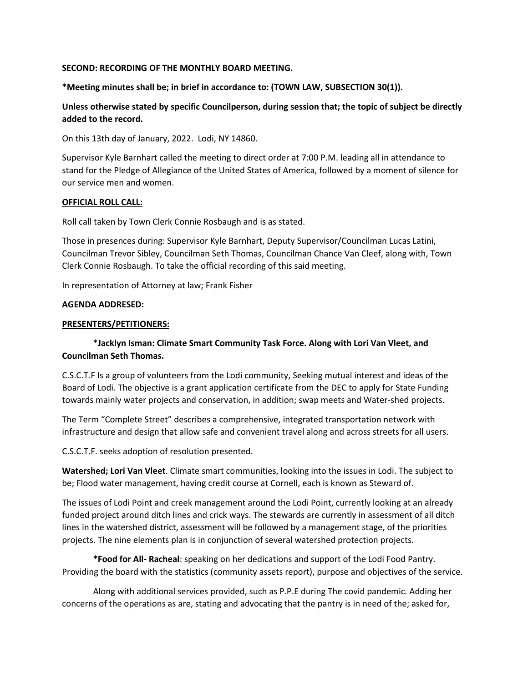#### **SECOND: RECORDING OF THE MONTHLY BOARD MEETING.**

**\*Meeting minutes shall be; in brief in accordance to: (TOWN LAW, SUBSECTION 30(1)).**

**Unless otherwise stated by specific Councilperson, during session that; the topic of subject be directly added to the record.**

On this 13th day of January, 2022. Lodi, NY 14860.

Supervisor Kyle Barnhart called the meeting to direct order at 7:00 P.M. leading all in attendance to stand for the Pledge of Allegiance of the United States of America, followed by a moment of silence for our service men and women.

#### **OFFICIAL ROLL CALL:**

Roll call taken by Town Clerk Connie Rosbaugh and is as stated.

Those in presences during: Supervisor Kyle Barnhart, Deputy Supervisor/Councilman Lucas Latini, Councilman Trevor Sibley, Councilman Seth Thomas, Councilman Chance Van Cleef, along with, Town Clerk Connie Rosbaugh. To take the official recording of this said meeting.

In representation of Attorney at law; Frank Fisher

#### **AGENDA ADDRESED:**

#### **PRESENTERS/PETITIONERS:**

# \***Jacklyn Isman: Climate Smart Community Task Force. Along with Lori Van Vleet, and Councilman Seth Thomas.**

C.S.C.T.F Is a group of volunteers from the Lodi community, Seeking mutual interest and ideas of the Board of Lodi. The objective is a grant application certificate from the DEC to apply for State Funding towards mainly water projects and conservation, in addition; swap meets and Water-shed projects.

The Term "Complete Street" describes a comprehensive, integrated transportation network with infrastructure and design that allow safe and convenient travel along and across streets for all users.

C.S.C.T.F. seeks adoption of resolution presented.

**Watershed; Lori Van Vleet**. Climate smart communities, looking into the issues in Lodi. The subject to be; Flood water management, having credit course at Cornell, each is known as Steward of.

The issues of Lodi Point and creek management around the Lodi Point, currently looking at an already funded project around ditch lines and crick ways. The stewards are currently in assessment of all ditch lines in the watershed district, assessment will be followed by a management stage, of the priorities projects. The nine elements plan is in conjunction of several watershed protection projects.

**\*Food for All- Racheal**: speaking on her dedications and support of the Lodi Food Pantry. Providing the board with the statistics (community assets report), purpose and objectives of the service.

Along with additional services provided, such as P.P.E during The covid pandemic. Adding her concerns of the operations as are, stating and advocating that the pantry is in need of the; asked for,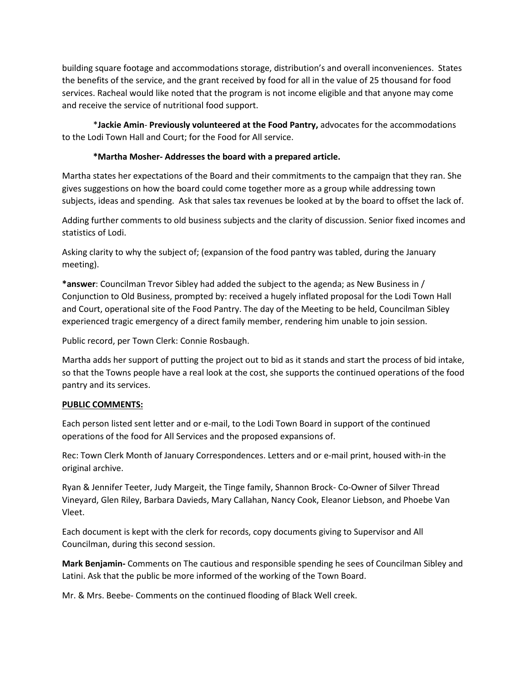building square footage and accommodations storage, distribution's and overall inconveniences. States the benefits of the service, and the grant received by food for all in the value of 25 thousand for food services. Racheal would like noted that the program is not income eligible and that anyone may come and receive the service of nutritional food support.

\***Jackie Amin**- **Previously volunteered at the Food Pantry,** advocates for the accommodations to the Lodi Town Hall and Court; for the Food for All service.

# **\*Martha Mosher- Addresses the board with a prepared article.**

Martha states her expectations of the Board and their commitments to the campaign that they ran. She gives suggestions on how the board could come together more as a group while addressing town subjects, ideas and spending. Ask that sales tax revenues be looked at by the board to offset the lack of.

Adding further comments to old business subjects and the clarity of discussion. Senior fixed incomes and statistics of Lodi.

Asking clarity to why the subject of; (expansion of the food pantry was tabled, during the January meeting).

**\*answer**: Councilman Trevor Sibley had added the subject to the agenda; as New Business in / Conjunction to Old Business, prompted by: received a hugely inflated proposal for the Lodi Town Hall and Court, operational site of the Food Pantry. The day of the Meeting to be held, Councilman Sibley experienced tragic emergency of a direct family member, rendering him unable to join session.

Public record, per Town Clerk: Connie Rosbaugh.

Martha adds her support of putting the project out to bid as it stands and start the process of bid intake, so that the Towns people have a real look at the cost, she supports the continued operations of the food pantry and its services.

# **PUBLIC COMMENTS:**

Each person listed sent letter and or e-mail, to the Lodi Town Board in support of the continued operations of the food for All Services and the proposed expansions of.

Rec: Town Clerk Month of January Correspondences. Letters and or e-mail print, housed with-in the original archive.

Ryan & Jennifer Teeter, Judy Margeit, the Tinge family, Shannon Brock- Co-Owner of Silver Thread Vineyard, Glen Riley, Barbara Davieds, Mary Callahan, Nancy Cook, Eleanor Liebson, and Phoebe Van Vleet.

Each document is kept with the clerk for records, copy documents giving to Supervisor and All Councilman, during this second session.

**Mark Benjamin-** Comments on The cautious and responsible spending he sees of Councilman Sibley and Latini. Ask that the public be more informed of the working of the Town Board.

Mr. & Mrs. Beebe- Comments on the continued flooding of Black Well creek.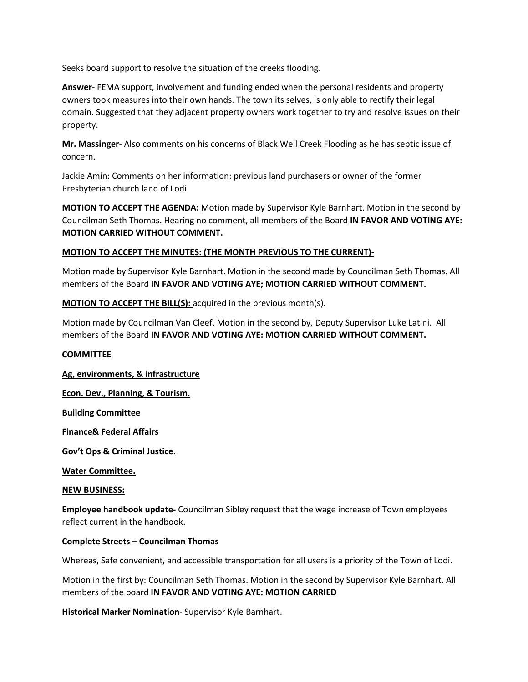Seeks board support to resolve the situation of the creeks flooding.

**Answer**- FEMA support, involvement and funding ended when the personal residents and property owners took measures into their own hands. The town its selves, is only able to rectify their legal domain. Suggested that they adjacent property owners work together to try and resolve issues on their property.

**Mr. Massinger**- Also comments on his concerns of Black Well Creek Flooding as he has septic issue of concern.

Jackie Amin: Comments on her information: previous land purchasers or owner of the former Presbyterian church land of Lodi

**MOTION TO ACCEPT THE AGENDA:** Motion made by Supervisor Kyle Barnhart. Motion in the second by Councilman Seth Thomas. Hearing no comment, all members of the Board **IN FAVOR AND VOTING AYE: MOTION CARRIED WITHOUT COMMENT.**

## **MOTION TO ACCEPT THE MINUTES: (THE MONTH PREVIOUS TO THE CURRENT)-**

Motion made by Supervisor Kyle Barnhart. Motion in the second made by Councilman Seth Thomas. All members of the Board **IN FAVOR AND VOTING AYE; MOTION CARRIED WITHOUT COMMENT.** 

**MOTION TO ACCEPT THE BILL(S):** acquired in the previous month(s).

Motion made by Councilman Van Cleef. Motion in the second by, Deputy Supervisor Luke Latini. All members of the Board **IN FAVOR AND VOTING AYE: MOTION CARRIED WITHOUT COMMENT.**

## **COMMITTEE**

**Ag, environments, & infrastructure** 

**Econ. Dev., Planning, & Tourism.**

**Building Committee**

**Finance& Federal Affairs**

**Gov't Ops & Criminal Justice.**

**Water Committee.**

#### **NEW BUSINESS:**

**Employee handbook update-** Councilman Sibley request that the wage increase of Town employees reflect current in the handbook.

#### **Complete Streets – Councilman Thomas**

Whereas, Safe convenient, and accessible transportation for all users is a priority of the Town of Lodi.

Motion in the first by: Councilman Seth Thomas. Motion in the second by Supervisor Kyle Barnhart. All members of the board **IN FAVOR AND VOTING AYE: MOTION CARRIED**

**Historical Marker Nomination**- Supervisor Kyle Barnhart.